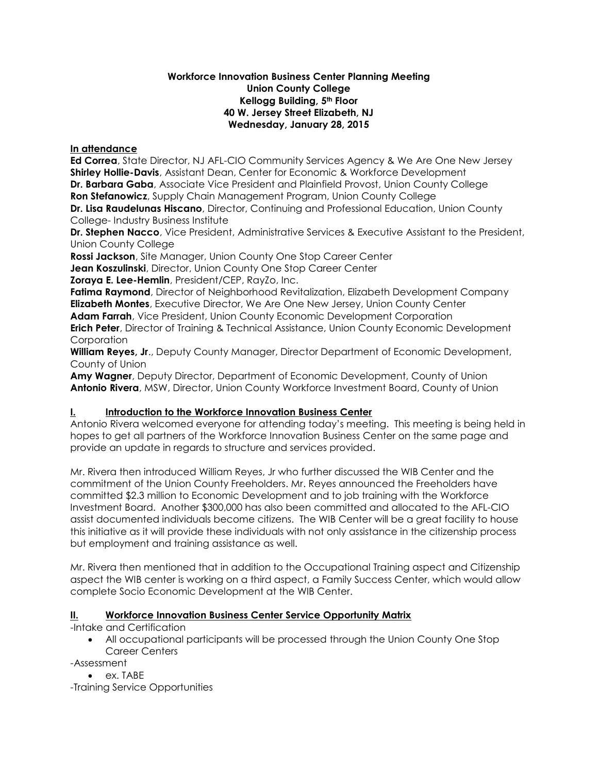#### **Workforce Innovation Business Center Planning Meeting Union County College Kellogg Building, 5th Floor 40 W. Jersey Street Elizabeth, NJ Wednesday, January 28, 2015**

#### **In attendance**

**Ed Correa**, State Director, NJ AFL-CIO Community Services Agency & We Are One New Jersey **Shirley Hollie-Davis**, Assistant Dean, Center for Economic & Workforce Development **Dr. Barbara Gaba**, Associate Vice President and Plainfield Provost, Union County College **Ron Stefanowicz**, Supply Chain Management Program, Union County College **Dr. Lisa Raudelunas Hiscano**, Director, Continuing and Professional Education, Union County

College- Industry Business Institute

**Dr. Stephen Nacco**, Vice President, Administrative Services & Executive Assistant to the President, Union County College

**Rossi Jackson**, Site Manager, Union County One Stop Career Center

**Jean Koszulinski**, Director, Union County One Stop Career Center

**Zoraya E. Lee-Hemlin**, President/CEP, RayZo, Inc.

**Fatima Raymond**, Director of Neighborhood Revitalization, Elizabeth Development Company **Elizabeth Montes**, Executive Director, We Are One New Jersey, Union County Center **Adam Farrah**, Vice President, Union County Economic Development Corporation **Erich Peter**, Director of Training & Technical Assistance, Union County Economic Development **Corporation** 

**William Reyes, Jr**., Deputy County Manager, Director Department of Economic Development, County of Union

**Amy Wagner**, Deputy Director, Department of Economic Development, County of Union **Antonio Rivera**, MSW, Director, Union County Workforce Investment Board, County of Union

# **I. Introduction to the Workforce Innovation Business Center**

Antonio Rivera welcomed everyone for attending today's meeting. This meeting is being held in hopes to get all partners of the Workforce Innovation Business Center on the same page and provide an update in regards to structure and services provided.

Mr. Rivera then introduced William Reyes, Jr who further discussed the WIB Center and the commitment of the Union County Freeholders. Mr. Reyes announced the Freeholders have committed \$2.3 million to Economic Development and to job training with the Workforce Investment Board. Another \$300,000 has also been committed and allocated to the AFL-CIO assist documented individuals become citizens. The WIB Center will be a great facility to house this initiative as it will provide these individuals with not only assistance in the citizenship process but employment and training assistance as well.

Mr. Rivera then mentioned that in addition to the Occupational Training aspect and Citizenship aspect the WIB center is working on a third aspect, a Family Success Center, which would allow complete Socio Economic Development at the WIB Center.

# **II. Workforce Innovation Business Center Service Opportunity Matrix**

-Intake and Certification

 All occupational participants will be processed through the Union County One Stop Career Centers

-Assessment

• ex. TABE

-Training Service Opportunities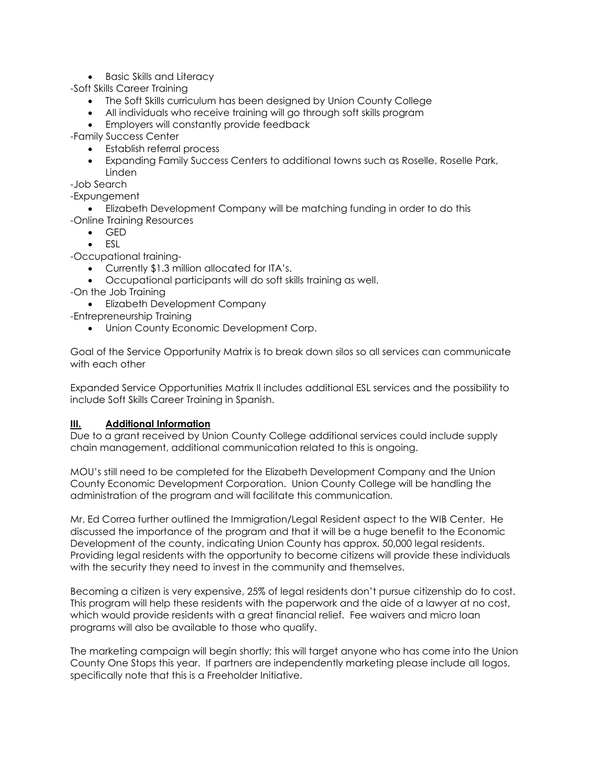• Basic Skills and Literacy

-Soft Skills Career Training

- The Soft Skills curriculum has been designed by Union County College
- All individuals who receive training will go through soft skills program
- **Employers will constantly provide feedback**

-Family Success Center

- Establish referral process
- Expanding Family Success Centers to additional towns such as Roselle, Roselle Park, Linden

-Job Search

-Expungement

- Elizabeth Development Company will be matching funding in order to do this
- -Online Training Resources
	- GED
	- ESL

-Occupational training-

- Currently \$1.3 million allocated for ITA's.
- Occupational participants will do soft skills training as well.
- -On the Job Training
	- Elizabeth Development Company
- -Entrepreneurship Training
	- Union County Economic Development Corp.

Goal of the Service Opportunity Matrix is to break down silos so all services can communicate with each other

Expanded Service Opportunities Matrix II includes additional ESL services and the possibility to include Soft Skills Career Training in Spanish.

#### **III. Additional Information**

Due to a grant received by Union County College additional services could include supply chain management, additional communication related to this is ongoing.

MOU's still need to be completed for the Elizabeth Development Company and the Union County Economic Development Corporation. Union County College will be handling the administration of the program and will facilitate this communication.

Mr. Ed Correa further outlined the Immigration/Legal Resident aspect to the WIB Center. He discussed the importance of the program and that it will be a huge benefit to the Economic Development of the county, indicating Union County has approx. 50,000 legal residents. Providing legal residents with the opportunity to become citizens will provide these individuals with the security they need to invest in the community and themselves.

Becoming a citizen is very expensive, 25% of legal residents don't pursue citizenship do to cost. This program will help these residents with the paperwork and the aide of a lawyer at no cost, which would provide residents with a great financial relief. Fee waivers and micro loan programs will also be available to those who qualify.

The marketing campaign will begin shortly; this will target anyone who has come into the Union County One Stops this year. If partners are independently marketing please include all logos, specifically note that this is a Freeholder Initiative.